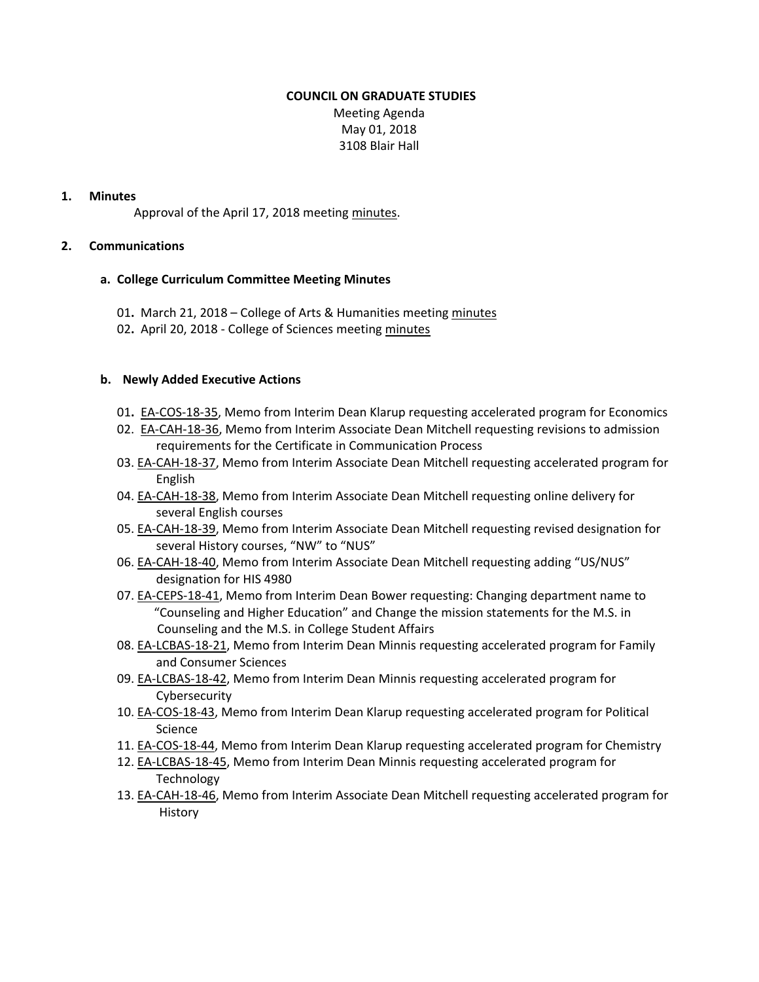#### **COUNCIL ON GRADUATE STUDIES**

Meeting Agenda May 01, 2018 3108 Blair Hall

## **1. Minutes**

Approval of the April 17, 2018 meeting [minutes](http://castle.eiu.edu/eiucgs/currentminutes/Minutes04-17-18.pdf).

### **2. Communications**

### **a. College Curriculum Committee Meeting Minutes**

- 01. March 21, 2018 College of Arts & Humanities meeting [minutes](https://www.eiu.edu/ahcolleg/cahcc_files/2018/CAHCC_Minutes_3_21_18.pdf)
- 02**.** April 20, 2018 ‐ College of Sciences meeting [minutes](https://www.eiu.edu/colsci/coscc/minutes_17/COSCC_Minutes_4_20_18.pdf)

### **b. Newly Added Executive Actions**

- 01**.** EA‐[COS](http://castle.eiu.edu/~eiucgs/exec-actions/EA-COS-18-35.pdf)‐18‐35, Memo from Interim Dean Klarup requesting accelerated program for Economics
- 02. EA‐[CAH](http://castle.eiu.edu/~eiucgs/exec-actions/EA-CAH-18-36.pdf)‐18‐36, Memo from Interim Associate Dean Mitchell requesting revisions to admission requirements for the Certificate in Communication Process
- 03. EA-[CAH](http://castle.eiu.edu/~eiucgs/exec-actions/EA-CAH-18-37.pdf)-18-37, Memo from Interim Associate Dean Mitchell requesting accelerated program for English
- 04. EA-[CAH](http://castle.eiu.edu/~eiucgs/exec-actions/EA-CAH-18-38.pdf)-18-38, Memo from Interim Associate Dean Mitchell requesting online delivery for several English courses
- 05. EA-[CAH](http://castle.eiu.edu/~eiucgs/exec-actions/EA-CAH-18-39.pdf)-18-39, Memo from Interim Associate Dean Mitchell requesting revised designation for several History courses, "NW" to "NUS"
- 06. EA‐[CAH](http://castle.eiu.edu/~eiucgs/exec-actions/EA-CAH-18-40.pdf)‐18‐40, Memo from Interim Associate Dean Mitchell requesting adding "US/NUS" designation for HIS 4980
- 07. EA‐[CEPS](http://castle.eiu.edu/~eiucgs/exec-actions/EA-CEPS-18-41.pdf)‐18‐41, Memo from Interim Dean Bower requesting: Changing department name to "Counseling and Higher Education" and Change the mission statements for the M.S. in Counseling and the M.S. in College Student Affairs
- 08. EA-[LCBAS](http://castle.eiu.edu/~eiucgs/exec-actions/EA-LCBAS-18-21.pdf)-18-21, Memo from Interim Dean Minnis requesting accelerated program for Family and Consumer Sciences
- 09. EA-[LCBAS](http://castle.eiu.edu/~eiucgs/exec-actions/EA-LCBAS-18-42.pdf)-18-42, Memo from Interim Dean Minnis requesting accelerated program for **Cybersecurity**
- 10. EA‐[COS](http://castle.eiu.edu/~eiucgs/exec-actions/EA-COS-18-43.pdf)‐18‐43, Memo from Interim Dean Klarup requesting accelerated program for Political Science
- 11. EA‐[COS](http://castle.eiu.edu/~eiucgs/exec-actions/EA-COS-18-44.pdf)‐18‐44, Memo from Interim Dean Klarup requesting accelerated program for Chemistry
- 12. EA‐[LCBAS](http://castle.eiu.edu/~eiucgs/exec-actions/EA-LCBAS-18-45.pdf)‐18‐45, Memo from Interim Dean Minnis requesting accelerated program for **Technology**
- 13. EA‐[CAH](http://castle.eiu.edu/~eiucgs/exec-actions/EA-CAH-18-46.pdf)‐18‐46, Memo from Interim Associate Dean Mitchell requesting accelerated program for History